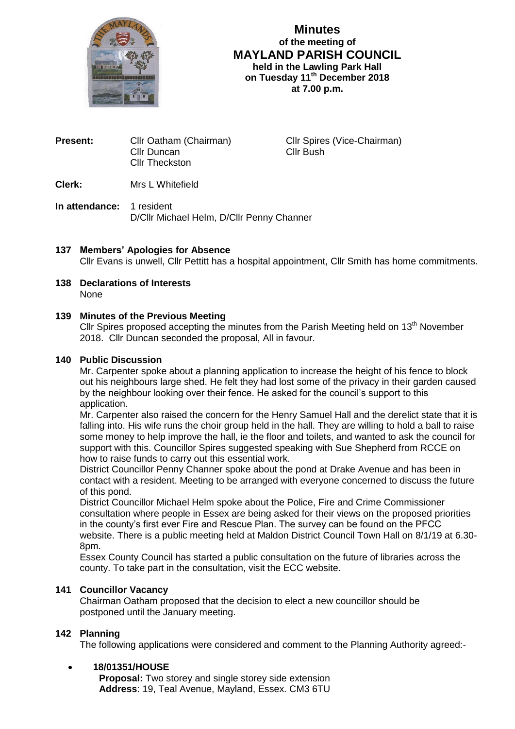

**Minutes of the meeting of MAYLAND PARISH COUNCIL held in the Lawling Park Hall on Tuesday 11 th December 2018 at 7.00 p.m.**

| <b>Present:</b> | Cllr Oatham (Chairman) |
|-----------------|------------------------|
|                 | Cllr Duncan            |
|                 | <b>CIIr Theckston</b>  |

**Cllr Spires (Vice-Chairman)** Cllr Bush

**Clerk:** Mrs L Whitefield

**In attendance:** 1 resident D/Cllr Michael Helm, D/Cllr Penny Channer

# **137 Members' Apologies for Absence**

Cllr Evans is unwell, Cllr Pettitt has a hospital appointment, Cllr Smith has home commitments.

**138 Declarations of Interests** None

## **139 Minutes of the Previous Meeting**

Cllr Spires proposed accepting the minutes from the Parish Meeting held on 13<sup>th</sup> November 2018. Cllr Duncan seconded the proposal, All in favour.

## **140 Public Discussion**

Mr. Carpenter spoke about a planning application to increase the height of his fence to block out his neighbours large shed. He felt they had lost some of the privacy in their garden caused by the neighbour looking over their fence. He asked for the council's support to this application.

Mr. Carpenter also raised the concern for the Henry Samuel Hall and the derelict state that it is falling into. His wife runs the choir group held in the hall. They are willing to hold a ball to raise some money to help improve the hall, ie the floor and toilets, and wanted to ask the council for support with this. Councillor Spires suggested speaking with Sue Shepherd from RCCE on how to raise funds to carry out this essential work.

District Councillor Penny Channer spoke about the pond at Drake Avenue and has been in contact with a resident. Meeting to be arranged with everyone concerned to discuss the future of this pond.

District Councillor Michael Helm spoke about the Police, Fire and Crime Commissioner consultation where people in Essex are being asked for their views on the proposed priorities in the county's first ever Fire and Rescue Plan. The survey can be found on the PFCC website. There is a public meeting held at Maldon District Council Town Hall on 8/1/19 at 6.30- 8pm.

Essex County Council has started a public consultation on the future of libraries across the county. To take part in the consultation, visit the ECC website.

## **141 Councillor Vacancy**

Chairman Oatham proposed that the decision to elect a new councillor should be postponed until the January meeting.

## **142 Planning**

The following applications were considered and comment to the Planning Authority agreed:-

## **18/01351/HOUSE**

 **Proposal:** Two storey and single storey side extension **Address**: 19, Teal Avenue, Mayland, Essex. CM3 6TU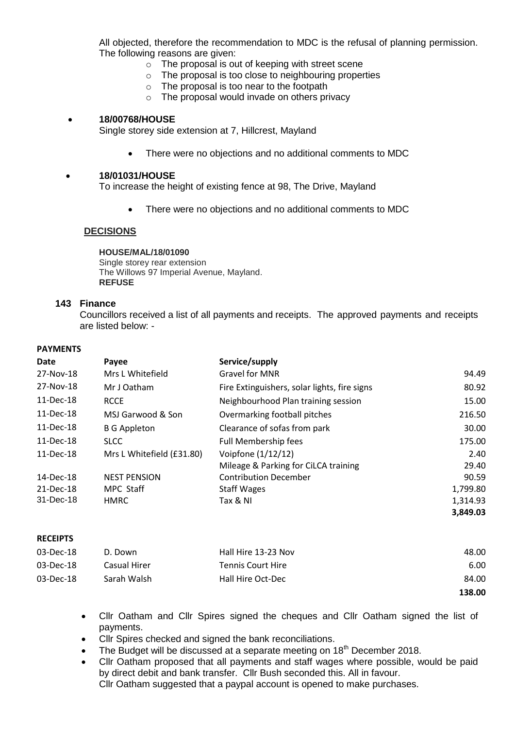All objected, therefore the recommendation to MDC is the refusal of planning permission. The following reasons are given:

- o The proposal is out of keeping with street scene
- o The proposal is too close to neighbouring properties
- o The proposal is too near to the footpath
- o The proposal would invade on others privacy

#### **18/00768/HOUSE**

Single storey side extension at 7, Hillcrest, Mayland

There were no objections and no additional comments to MDC

#### **18/01031/HOUSE**

To increase the height of existing fence at 98, The Drive, Mayland

There were no objections and no additional comments to MDC

## **DECISIONS**

**HOUSE/MAL/18/01090** Single storey rear extension The Willows 97 Imperial Avenue, Mayland. **REFUSE**

#### **143 Finance**

Councillors received a list of all payments and receipts. The approved payments and receipts are listed below: -

#### **PAYMENTS**

| Date      | Payee                     | Service/supply                               |          |
|-----------|---------------------------|----------------------------------------------|----------|
| 27-Nov-18 | Mrs L Whitefield          | Gravel for MNR                               | 94.49    |
| 27-Nov-18 | Mr J Oatham               | Fire Extinguishers, solar lights, fire signs | 80.92    |
| 11-Dec-18 | <b>RCCE</b>               | Neighbourhood Plan training session          | 15.00    |
| 11-Dec-18 | MSJ Garwood & Son         | Overmarking football pitches                 | 216.50   |
| 11-Dec-18 | <b>B G Appleton</b>       | Clearance of sofas from park                 | 30.00    |
| 11-Dec-18 | <b>SLCC</b>               | <b>Full Membership fees</b>                  | 175.00   |
| 11-Dec-18 | Mrs L Whitefield (£31.80) | Voipfone (1/12/12)                           | 2.40     |
|           |                           | Mileage & Parking for CiLCA training         | 29.40    |
| 14-Dec-18 | <b>NEST PENSION</b>       | <b>Contribution December</b>                 | 90.59    |
| 21-Dec-18 | MPC Staff                 | <b>Staff Wages</b>                           | 1,799.80 |
| 31-Dec-18 | <b>HMRC</b>               | Tax & NI                                     | 1,314.93 |
|           |                           |                                              | 3,849.03 |

#### **RECEIPTS**

| $03$ -Dec-18 | D. Down      | Hall Hire 13-23 Nov      | 48.00  |
|--------------|--------------|--------------------------|--------|
| $03$ -Dec-18 | Casual Hirer | <b>Tennis Court Hire</b> | 6.00   |
| 03-Dec-18    | Sarah Walsh  | Hall Hire Oct-Dec        | 84.00  |
|              |              |                          | 138.00 |

- Cllr Oatham and Cllr Spires signed the cheques and Cllr Oatham signed the list of payments.
- Cllr Spires checked and signed the bank reconciliations.
- The Budget will be discussed at a separate meeting on 18<sup>th</sup> December 2018.
- Cllr Oatham proposed that all payments and staff wages where possible, would be paid by direct debit and bank transfer. Cllr Bush seconded this. All in favour. Cllr Oatham suggested that a paypal account is opened to make purchases.